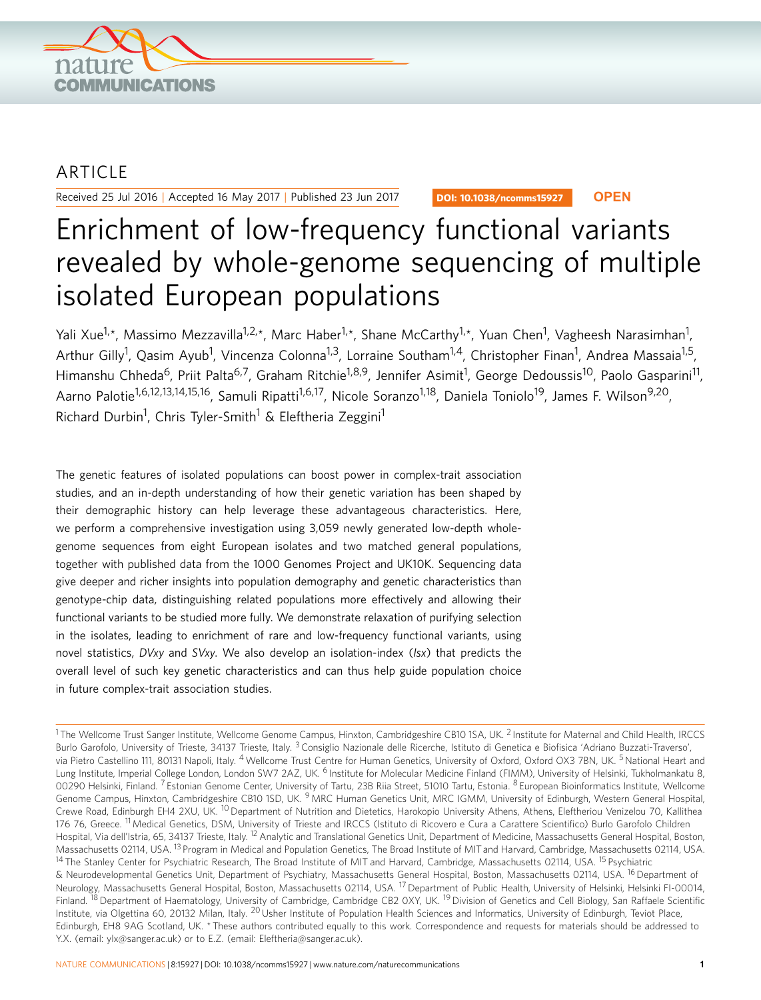

# ARTICLE

Received 25 Jul 2016 | Accepted 16 May 2017 | Published 23 Jun 2017

DOI: 10.1038/ncomms15927 **OPEN**

# Enrichment of low-frequency functional variants revealed by whole-genome sequencing of multiple isolated European populations

Yali Xue<sup>1,</sup>\*, Massimo Mezzavilla<sup>1,2,</sup>\*, Marc Haber<sup>1,</sup>\*, Shane McCarthy<sup>1,</sup>\*, Yuan Chen<sup>1</sup>, Vagheesh Narasimhan<sup>1</sup>, Arthur Gilly<sup>1</sup>, Qasim Ayub<sup>1</sup>, Vincenza Colonna<sup>1,3</sup>, Lorraine Southam<sup>1,4</sup>, Christopher Finan<sup>1</sup>, Andrea Massaia<sup>1,5</sup>, Himanshu Chheda<sup>6</sup>, Priit Palta<sup>6,7</sup>, Graham Ritchie<sup>1,8,9</sup>, Jennifer Asimit<sup>1</sup>, George Dedoussis<sup>10</sup>, Paolo Gasparini<sup>11</sup>, Aarno Palotie<sup>1,6,12,13,14,15,16</sup>, Samuli Ripatti<sup>1,6,17</sup>, Nicole Soranzo<sup>1,18</sup>, Daniela Toniolo<sup>19</sup>, James F. Wilson<sup>9,20</sup>, Richard Durbin<sup>1</sup>, Chris Tyler-Smith<sup>1</sup> & Eleftheria Zeggini<sup>1</sup>

The genetic features of isolated populations can boost power in complex-trait association studies, and an in-depth understanding of how their genetic variation has been shaped by their demographic history can help leverage these advantageous characteristics. Here, we perform a comprehensive investigation using 3,059 newly generated low-depth wholegenome sequences from eight European isolates and two matched general populations, together with published data from the 1000 Genomes Project and UK10K. Sequencing data give deeper and richer insights into population demography and genetic characteristics than genotype-chip data, distinguishing related populations more effectively and allowing their functional variants to be studied more fully. We demonstrate relaxation of purifying selection in the isolates, leading to enrichment of rare and low-frequency functional variants, using novel statistics, DVxy and SVxy. We also develop an isolation-index (Isx) that predicts the overall level of such key genetic characteristics and can thus help guide population choice in future complex-trait association studies.

<sup>1</sup> The Wellcome Trust Sanger Institute, Wellcome Genome Campus, Hinxton, Cambridgeshire CB10 1SA, UK. <sup>2</sup> Institute for Maternal and Child Health, IRCCS Burlo Garofolo, University of Trieste, 34137 Trieste, Italy. <sup>3</sup> Consiglio Nazionale delle Ricerche, Istituto di Genetica e Biofisica 'Adriano Buzzati-Traverso', via Pietro Castellino 111, 80131 Napoli, Italy. <sup>4</sup> Wellcome Trust Centre for Human Genetics, University of Oxford, Oxford OX3 7BN, UK. <sup>5</sup> National Heart and Lung Institute, Imperial College London, London SW7 2AZ, UK. <sup>6</sup> Institute for Molecular Medicine Finland (FIMM), University of Helsinki, Tukholmankatu 8, 00290 Helsinki, Finland. <sup>7</sup> Estonian Genome Center, University of Tartu, 23B Riia Street, 51010 Tartu, Estonia. <sup>8</sup> European Bioinformatics Institute, Wellcome Genome Campus, Hinxton, Cambridgeshire CB10 1SD, UK. <sup>9</sup> MRC Human Genetics Unit, MRC IGMM, University of Edinburgh, Western General Hospital, Crewe Road, Edinburgh EH4 2XU, UK. <sup>10</sup> Department of Nutrition and Dietetics, Harokopio University Athens, Athens, Eleftheriou Venizelou 70, Kallithea 176 76, Greece. <sup>11</sup> Medical Genetics, DSM, University of Trieste and IRCCS (Istituto di Ricovero e Cura a Carattere Scientifico) Burlo Garofolo Children Hospital, Via dell'Istria, 65, 34137 Trieste, Italy. <sup>12</sup> Analytic and Translational Genetics Unit, Department of Medicine, Massachusetts General Hospital, Boston, Massachusetts 02114, USA. <sup>13</sup> Program in Medical and Population Genetics, The Broad Institute of MIT and Harvard, Cambridge, Massachusetts 02114, USA. <sup>14</sup> The Stanley Center for Psychiatric Research, The Broad Institute of MIT and Harvard, Cambridge, Massachusetts 02114, USA. <sup>15</sup> Psychiatric & Neurodevelopmental Genetics Unit, Department of Psychiatry, Massachusetts General Hospital, Boston, Massachusetts 02114, USA. <sup>16</sup> Department of Neurology, Massachusetts General Hospital, Boston, Massachusetts 02114, USA. <sup>17</sup> Department of Public Health, University of Helsinki, Helsinki FI-00014, Finland. <sup>18</sup> Department of Haematology, University of Cambridge, Cambridge CB2 0XY, UK. <sup>19</sup> Division of Genetics and Cell Biology, San Raffaele Scientific Institute, via Olgettina 60, 20132 Milan, Italy. <sup>20</sup> Usher Institute of Population Health Sciences and Informatics, University of Edinburgh, Teviot Place, Edinburgh, EH8 9AG Scotland, UK. \* These authors contributed equally to this work. Correspondence and requests for materials should be addressed to Y.X. (email: [ylx@sanger.ac.uk\)](mailto:ylx@sanger.ac.uk) or to E.Z. (email: [Eleftheria@sanger.ac.uk](mailto:Eleftheria@sanger.ac.uk)).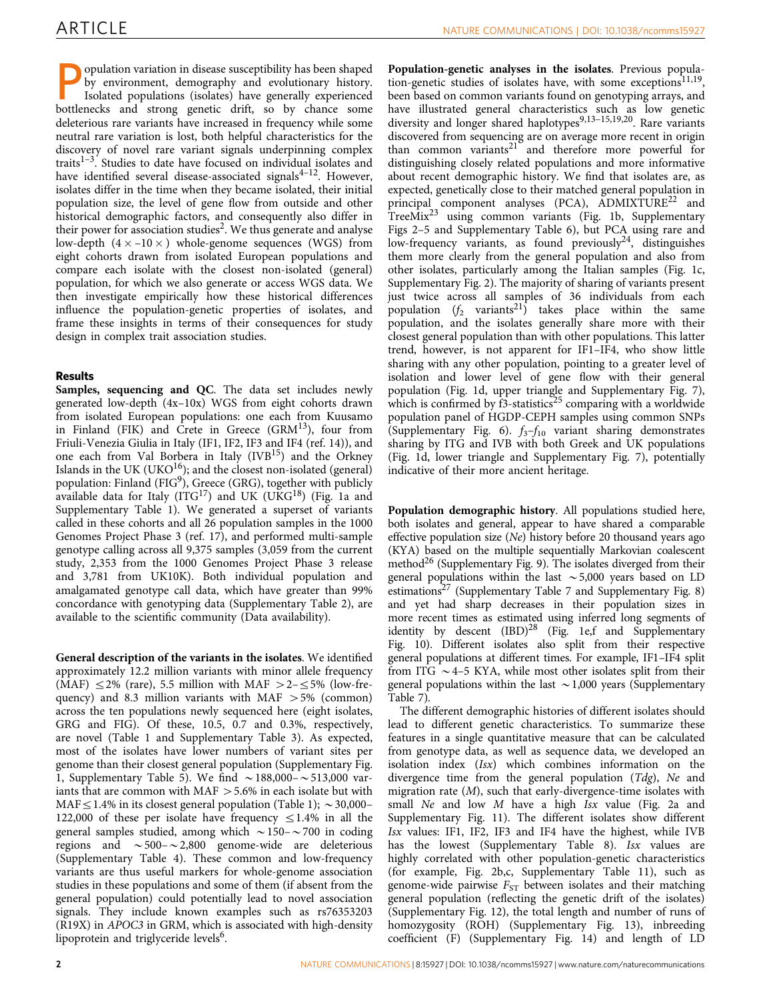opulation variation in disease susceptibility has been shaped by environment, demography and evolutionary history. Isolated populations (isolates) have generally experienced bottlenecks and strong genetic drift, so by chance some deleterious rare variants have increased in frequency while some neutral rare variation is lost, both helpful characteristics for the discovery of novel rare variant signals underpinning complex traits $1-3$ . Studies to date have focused on individual isolates and have identified several disease-associated signals $4^{-12}$ . However, isolates differ in the time when they became isolated, their initial population size, the level of gene flow from outside and other historical demographic factors, and consequently also differ in their power for association studies<sup>2</sup>. We thus generate and analyse low-depth  $(4\times -10\times)$  whole-genome sequences (WGS) from eight cohorts drawn from isolated European populations and compare each isolate with the closest non-isolated (general) population, for which we also generate or access WGS data. We then investigate empirically how these historical differences influence the population-genetic properties of isolates, and frame these insights in terms of their consequences for study design in complex trait association studies.

# Results

Samples, sequencing and QC. The data set includes newly generated low-depth (4x–10x) WGS from eight cohorts drawn from isolated European populations: one each from Kuusamo in Finland (FIK) and Crete in Greece (GRM $13$ ), four from Friuli-Venezia Giulia in Italy (IF1, IF2, IF3 and IF4 ([ref. 14](#page-5-0))), and one each from Val Borbera in Italy  $(IVB<sup>15</sup>)$  and the Orkney Islands in the UK (UKO $16$ ); and the closest non-isolated (general) population: Finland ( $FIG<sup>9</sup>$  $FIG<sup>9</sup>$  $FIG<sup>9</sup>$ ), Greece (GRG), together with publicly available data for Italy  $(ITG<sup>17</sup>)$  and UK  $(UKG<sup>18</sup>)$  $(UKG<sup>18</sup>)$  $(UKG<sup>18</sup>)$  ([Fig. 1a](#page-2-0) and Supplementary Table 1). We generated a superset of variants called in these cohorts and all 26 population samples in the 1000 Genomes Project Phase 3 [\(ref. 17\)](#page-5-0), and performed multi-sample genotype calling across all 9,375 samples (3,059 from the current study, 2,353 from the 1000 Genomes Project Phase 3 release and 3,781 from UK10K). Both individual population and amalgamated genotype call data, which have greater than 99% concordance with genotyping data (Supplementary Table 2), are available to the scientific community (Data availability).

General description of the variants in the isolates. We identified approximately 12.2 million variants with minor allele frequency (MAF)  $\leq$  2% (rare), 5.5 million with MAF  $>$  2– $\leq$  5% (low-frequency) and 8.3 million variants with MAF  $> 5\%$  (common) across the ten populations newly sequenced here (eight isolates, GRG and FIG). Of these, 10.5, 0.7 and 0.3%, respectively, are novel ([Table 1](#page-2-0) and Supplementary Table 3). As expected, most of the isolates have lower numbers of variant sites per genome than their closest general population (Supplementary Fig. 1, Supplementary Table 5). We find  $\sim$  188,000– $\sim$  513,000 variants that are common with  $MAF > 5.6\%$  in each isolate but with MAF $\leq$ 1.4% in its closest general population [\(Table 1](#page-2-0));  $\sim$  30,000– 122,000 of these per isolate have frequency  $\leq$ 1.4% in all the general samples studied, among which  $\sim$  150– $\sim$  700 in coding regions and  $\sim$  500– $\sim$  2,800 genome-wide are deleterious (Supplementary Table 4). These common and low-frequency variants are thus useful markers for whole-genome association studies in these populations and some of them (if absent from the general population) could potentially lead to novel association signals. They include known examples such as rs76353203 (R19X) in APOC3 in GRM, which is associated with high-density lipoprotein and triglyceride levels<sup>6</sup>.

Population-genetic analyses in the isolates. Previous population-genetic studies of isolates have, with some exceptions<sup>11,19</sup>, been based on common variants found on genotyping arrays, and have illustrated general characteristics such as low genetic diversity and longer shared haplotypes<sup>9,13-15,19,20</sup>. Rare variants discovered from sequencing are on average more recent in origin than common variants $21$  and therefore more powerful for distinguishing closely related populations and more informative about recent demographic history. We find that isolates are, as expected, genetically close to their matched general population in principal component analyses (PCA),  $ADMIXTURE^{22}$  $ADMIXTURE^{22}$  $ADMIXTURE^{22}$  and TreeMix<sup>[23](#page-5-0)</sup> using common variants ([Fig. 1b](#page-2-0), Supplementary Figs 2–5 and Supplementary Table 6), but PCA using rare and low-frequency variants, as found previously<sup>24</sup>, distinguishes them more clearly from the general population and also from other isolates, particularly among the Italian samples ([Fig. 1c,](#page-2-0) Supplementary Fig. 2). The majority of sharing of variants present just twice across all samples of 36 individuals from each population  $(f_2$  variants<sup>[21](#page-5-0)</sup>) takes place within the same population, and the isolates generally share more with their closest general population than with other populations. This latter trend, however, is not apparent for IF1–IF4, who show little sharing with any other population, pointing to a greater level of isolation and lower level of gene flow with their general population [\(Fig. 1d](#page-2-0), upper triangle and Supplementary Fig. 7), which is confirmed by  $\hat{f}3$ -statistics<sup>[25](#page-5-0)</sup> comparing with a worldwide population panel of HGDP-CEPH samples using common SNPs (Supplementary Fig. 6).  $f_3-f_{10}$  variant sharing demonstrates sharing by ITG and IVB with both Greek and UK populations ([Fig. 1d](#page-2-0), lower triangle and Supplementary Fig. 7), potentially indicative of their more ancient heritage.

Population demographic history. All populations studied here, both isolates and general, appear to have shared a comparable effective population size (Ne) history before 20 thousand years ago (KYA) based on the multiple sequentially Markovian coalescent method<sup>26</sup> (Supplementary Fig. 9). The isolates diverged from their general populations within the last  $\sim$  5,000 years based on LD estimations<sup>[27](#page-5-0)</sup> (Supplementary Table 7 and Supplementary Fig. 8) and yet had sharp decreases in their population sizes in more recent times as estimated using inferred long segments of identity by descent  $(BD)^{28}$  $(BD)^{28}$  $(BD)^{28}$  ([Fig. 1e,f](#page-2-0) and Supplementary Fig. 10). Different isolates also split from their respective general populations at different times. For example, IF1–IF4 split from ITG  $\sim$  4–5 KYA, while most other isolates split from their general populations within the last  $\sim$  1,000 years (Supplementary Table 7).

The different demographic histories of different isolates should lead to different genetic characteristics. To summarize these features in a single quantitative measure that can be calculated from genotype data, as well as sequence data, we developed an isolation index (Isx) which combines information on the divergence time from the general population (Tdg), Ne and migration rate  $(M)$ , such that early-divergence-time isolates with small Ne and low M have a high Isx value ([Fig. 2a](#page-3-0) and Supplementary Fig. 11). The different isolates show different Isx values: IF1, IF2, IF3 and IF4 have the highest, while IVB has the lowest (Supplementary Table 8). Isx values are highly correlated with other population-genetic characteristics (for example, [Fig. 2b,c,](#page-3-0) Supplementary Table 11), such as genome-wide pairwise  $F_{ST}$  between isolates and their matching general population (reflecting the genetic drift of the isolates) (Supplementary Fig. 12), the total length and number of runs of homozygosity (ROH) (Supplementary Fig. 13), inbreeding coefficient (F) (Supplementary Fig. 14) and length of LD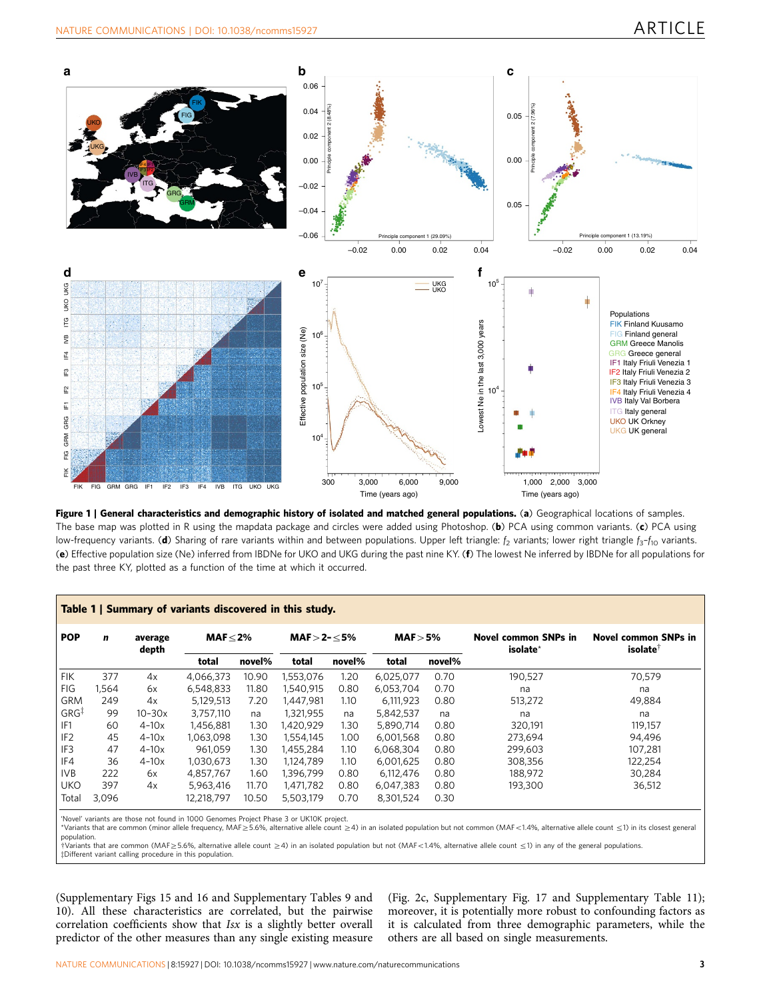<span id="page-2-0"></span>

Figure 1 | General characteristics and demographic history of isolated and matched general populations. (a) Geographical locations of samples. The base map was plotted in R using the mapdata package and circles were added using Photoshop. (b) PCA using common variants. (c) PCA using low-frequency variants. (d) Sharing of rare variants within and between populations. Upper left triangle:  $f_2$  variants; lower right triangle  $f_3$ – $f_{10}$  variants. (e) Effective population size (Ne) inferred from IBDNe for UKO and UKG during the past nine KY. (f) The lowest Ne inferred by IBDNe for all populations for the past three KY, plotted as a function of the time at which it occurred.

| <b>POP</b>       | $\mathbf n$ | average<br>depth | MAF $\leq$ 2% |        | $MAF > 2 - \leq 5\%$ |        | MAF > 5%  |        | <b>Novel common SNPs in</b><br>isolate* | <b>Novel common SNPs in</b><br><i>isolate</i> |
|------------------|-------------|------------------|---------------|--------|----------------------|--------|-----------|--------|-----------------------------------------|-----------------------------------------------|
|                  |             |                  | total         | novel% | total                | novel% | total     | novel% |                                         |                                               |
| <b>FIK</b>       | 377         | 4x               | 4,066,373     | 10.90  | 1,553,076            | 1.20   | 6,025,077 | 0.70   | 190,527                                 | 70,579                                        |
| FIG              | 1,564       | 6x               | 6,548,833     | 11.80  | 1,540,915            | 0.80   | 6,053,704 | 0.70   | na                                      | na                                            |
| <b>GRM</b>       | 249         | 4x               | 5.129.513     | 7.20   | 1.447.981            | 1.10   | 6.111.923 | 0.80   | 513,272                                 | 49,884                                        |
| GRG <sup>‡</sup> | 99          | $10 - 30x$       | 3.757.110     | na     | 1,321,955            | na     | 5,842,537 | na     | na                                      | na                                            |
| IF <sub>1</sub>  | 60          | $4-10x$          | 1,456,881     | 1.30   | 1.420.929            | 1.30   | 5.890.714 | 0.80   | 320,191                                 | 119.157                                       |
| IF <sub>2</sub>  | 45          | $4-10x$          | 1,063,098     | 1.30   | 1.554.145            | 1.00   | 6,001,568 | 0.80   | 273,694                                 | 94.496                                        |
| IF <sub>3</sub>  | 47          | $4-10x$          | 961.059       | 1.30   | 1,455,284            | 1.10   | 6,068,304 | 0.80   | 299,603                                 | 107.281                                       |
| IF4              | 36          | $4-10x$          | 1.030.673     | 1.30   | 1.124.789            | 1.10   | 6,001,625 | 0.80   | 308,356                                 | 122,254                                       |
| <b>IVB</b>       | 222         | 6x               | 4.857.767     | 1.60   | 1.396.799            | 0.80   | 6,112,476 | 0.80   | 188,972                                 | 30,284                                        |
| <b>UKO</b>       | 397         | 4x               | 5.963.416     | 11.70  | 1.471.782            | 0.80   | 6,047,383 | 0.80   | 193,300                                 | 36,512                                        |
| Total            | 3.096       |                  | 12.218.797    | 10.50  | 5.503.179            | 0.70   | 8,301,524 | 0.30   |                                         |                                               |

'Novel' variants are those not found in 1000 Genomes Project Phase 3 or UK10K project.

\*Variants that are common (minor allele frequency, MAF≥5.6%, alternative allele count ≥4) in an isolated population but not common (MAF<1.4%, alternative allele count ≤1) in its closest general population.

 $\frac{1}{2}$ Yariants that are common (MAF $\geq$ 5.6%, alternative allele count  $\geq$ 4) in an isolated population but not (MAF<1.4%, alternative allele count  $\leq$ 1) in any of the general populations.  $\ddagger$ Different variant calling procedure in this population.

(Supplementary Figs 15 and 16 and Supplementary Tables 9 and 10). All these characteristics are correlated, but the pairwise correlation coefficients show that Isx is a slightly better overall predictor of the other measures than any single existing measure

([Fig. 2c](#page-3-0), Supplementary Fig. 17 and Supplementary Table 11); moreover, it is potentially more robust to confounding factors as it is calculated from three demographic parameters, while the others are all based on single measurements.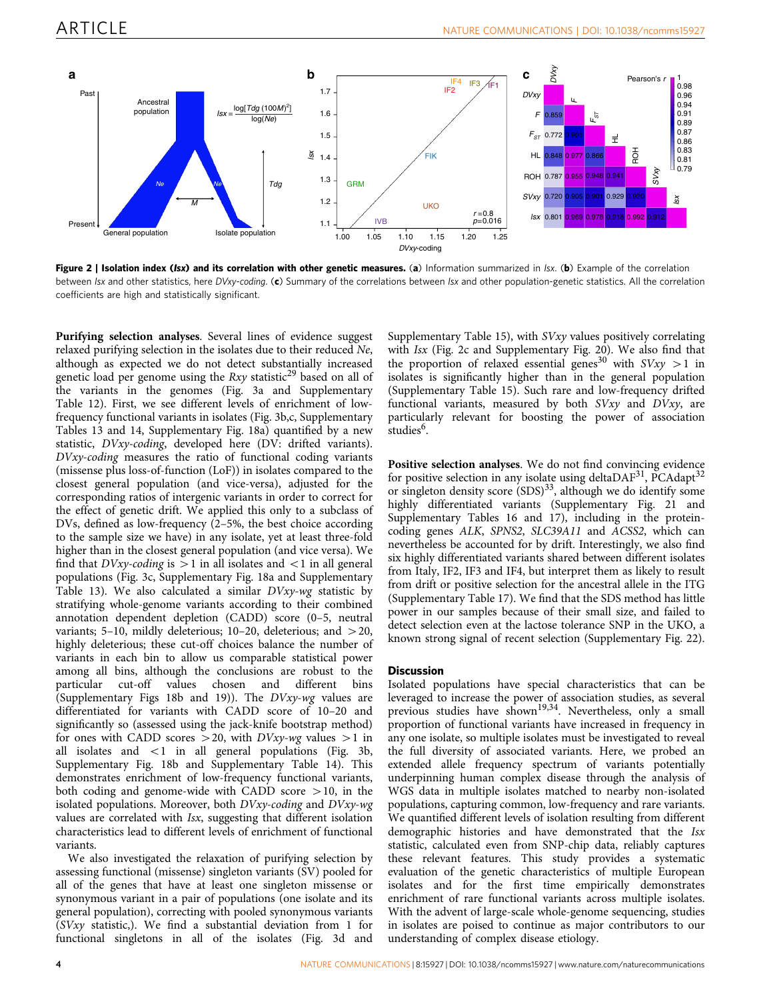<span id="page-3-0"></span>

Figure 2 | Isolation index (Isx) and its correlation with other genetic measures. (a) Information summarized in Isx. (b) Example of the correlation between Isx and other statistics, here DVxy-coding. (c) Summary of the correlations between Isx and other population-genetic statistics. All the correlation coefficients are high and statistically significant.

Purifying selection analyses. Several lines of evidence suggest relaxed purifying selection in the isolates due to their reduced Ne, although as expected we do not detect substantially increased genetic load per genome using the  $Rxy$  statistic<sup>[29](#page-6-0)</sup> based on all of the variants in the genomes ([Fig. 3a](#page-4-0) and Supplementary Table 12). First, we see different levels of enrichment of lowfrequency functional variants in isolates ([Fig. 3b,c](#page-4-0), Supplementary Tables 13 and 14, Supplementary Fig. 18a) quantified by a new statistic, DVxy-coding, developed here (DV: drifted variants). DVxy-coding measures the ratio of functional coding variants (missense plus loss-of-function (LoF)) in isolates compared to the closest general population (and vice-versa), adjusted for the corresponding ratios of intergenic variants in order to correct for the effect of genetic drift. We applied this only to a subclass of DVs, defined as low-frequency (2–5%, the best choice according to the sample size we have) in any isolate, yet at least three-fold higher than in the closest general population (and vice versa). We find that  $D Vxy$ -coding is  $>1$  in all isolates and  $<1$  in all general populations [\(Fig. 3c,](#page-4-0) Supplementary Fig. 18a and Supplementary Table 13). We also calculated a similar DVxy-wg statistic by stratifying whole-genome variants according to their combined annotation dependent depletion (CADD) score (0–5, neutral variants; 5–10, mildly deleterious; 10–20, deleterious; and  $>$  20, highly deleterious; these cut-off choices balance the number of variants in each bin to allow us comparable statistical power among all bins, although the conclusions are robust to the particular cut-off values chosen and different bins (Supplementary Figs 18b and 19)). The DVxy-wg values are differentiated for variants with CADD score of 10–20 and significantly so (assessed using the jack-knife bootstrap method) for ones with CADD scores  $>$  20, with DVxy-wg values  $>$ 1 in all isolates and  $\langle 1 \rangle$  in all general populations [\(Fig. 3b,](#page-4-0) Supplementary Fig. 18b and Supplementary Table 14). This demonstrates enrichment of low-frequency functional variants, both coding and genome-wide with CADD score  $>10$ , in the isolated populations. Moreover, both DVxy-coding and DVxy-wg values are correlated with Isx, suggesting that different isolation characteristics lead to different levels of enrichment of functional variants.

We also investigated the relaxation of purifying selection by assessing functional (missense) singleton variants (SV) pooled for all of the genes that have at least one singleton missense or synonymous variant in a pair of populations (one isolate and its general population), correcting with pooled synonymous variants (SVxy statistic,). We find a substantial deviation from 1 for functional singletons in all of the isolates [\(Fig. 3d](#page-4-0) and

Supplementary Table 15), with SVxy values positively correlating with Isx (Fig. 2c and Supplementary Fig. 20). We also find that the proportion of relaxed essential genes<sup>[30](#page-6-0)</sup> with  $SVxy > 1$  in isolates is significantly higher than in the general population (Supplementary Table 15). Such rare and low-frequency drifted functional variants, measured by both  $S Vxy$  and  $D Vxy$ , are particularly relevant for boosting the power of association studies<sup>[6](#page-5-0)</sup>.

Positive selection analyses. We do not find convincing evidence for positive selection in any isolate using deltaDAF<sup>31</sup>, PCAdapt<sup>32</sup> or singleton density score  $(SDS)^{33}$ , although we do identify some highly differentiated variants (Supplementary Fig. 21 and Supplementary Tables 16 and 17), including in the proteincoding genes ALK, SPNS2, SLC39A11 and ACSS2, which can nevertheless be accounted for by drift. Interestingly, we also find six highly differentiated variants shared between different isolates from Italy, IF2, IF3 and IF4, but interpret them as likely to result from drift or positive selection for the ancestral allele in the ITG (Supplementary Table 17). We find that the SDS method has little power in our samples because of their small size, and failed to detect selection even at the lactose tolerance SNP in the UKO, a known strong signal of recent selection (Supplementary Fig. 22).

# **Discussion**

Isolated populations have special characteristics that can be leveraged to increase the power of association studies, as several previous studies have shown<sup>19,34</sup>. Nevertheless, only a small proportion of functional variants have increased in frequency in any one isolate, so multiple isolates must be investigated to reveal the full diversity of associated variants. Here, we probed an extended allele frequency spectrum of variants potentially underpinning human complex disease through the analysis of WGS data in multiple isolates matched to nearby non-isolated populations, capturing common, low-frequency and rare variants. We quantified different levels of isolation resulting from different demographic histories and have demonstrated that the Isx statistic, calculated even from SNP-chip data, reliably captures these relevant features. This study provides a systematic evaluation of the genetic characteristics of multiple European isolates and for the first time empirically demonstrates enrichment of rare functional variants across multiple isolates. With the advent of large-scale whole-genome sequencing, studies in isolates are poised to continue as major contributors to our understanding of complex disease etiology.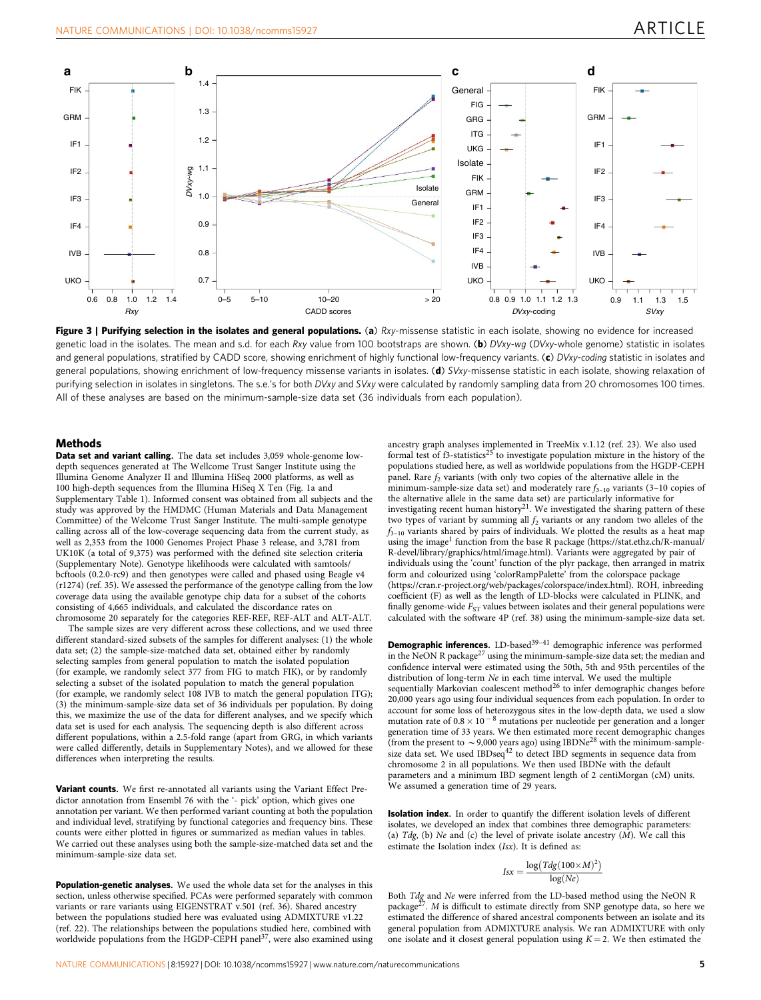<span id="page-4-0"></span>

Figure 3 | Purifying selection in the isolates and general populations. (a) Rxy-missense statistic in each isolate, showing no evidence for increased genetic load in the isolates. The mean and s.d. for each Rxy value from 100 bootstraps are shown. (b) DVxy-wg (DVxy-whole genome) statistic in isolates and general populations, stratified by CADD score, showing enrichment of highly functional low-frequency variants. (c) DVxy-coding statistic in isolates and general populations, showing enrichment of low-frequency missense variants in isolates. (d) SVxy-missense statistic in each isolate, showing relaxation of purifying selection in isolates in singletons. The s.e.'s for both DVxy and SVxy were calculated by randomly sampling data from 20 chromosomes 100 times. All of these analyses are based on the minimum-sample-size data set (36 individuals from each population).

#### **Methods**

Data set and variant calling. The data set includes 3,059 whole-genome lowdepth sequences generated at The Wellcome Trust Sanger Institute using the Illumina Genome Analyzer II and Illumina HiSeq 2000 platforms, as well as 100 high-depth sequences from the Illumina HiSeq X Ten [\(Fig. 1a](#page-2-0) and Supplementary Table 1). Informed consent was obtained from all subjects and the study was approved by the HMDMC (Human Materials and Data Management Committee) of the Welcome Trust Sanger Institute. The multi-sample genotype calling across all of the low-coverage sequencing data from the current study, as well as 2,353 from the 1000 Genomes Project Phase 3 release, and 3,781 from UK10K (a total of 9,375) was performed with the defined site selection criteria (Supplementary Note). Genotype likelihoods were calculated with samtools/ bcftools (0.2.0-rc9) and then genotypes were called and phased using Beagle v4 (r1274) [\(ref. 35\)](#page-6-0). We assessed the performance of the genotype calling from the low coverage data using the available genotype chip data for a subset of the cohorts consisting of 4,665 individuals, and calculated the discordance rates on chromosome 20 separately for the categories REF-REF, REF-ALT and ALT-ALT.

The sample sizes are very different across these collections, and we used three different standard-sized subsets of the samples for different analyses: (1) the whole data set; (2) the sample-size-matched data set, obtained either by randomly selecting samples from general population to match the isolated population (for example, we randomly select 377 from FIG to match FIK), or by randomly selecting a subset of the isolated population to match the general population (for example, we randomly select 108 IVB to match the general population ITG); (3) the minimum-sample-size data set of 36 individuals per population. By doing this, we maximize the use of the data for different analyses, and we specify which data set is used for each analysis. The sequencing depth is also different across different populations, within a 2.5-fold range (apart from GRG, in which variants were called differently, details in Supplementary Notes), and we allowed for these differences when interpreting the results.

Variant counts. We first re-annotated all variants using the Variant Effect Predictor annotation from Ensembl 76 with the '- pick' option, which gives one annotation per variant. We then performed variant counting at both the population and individual level, stratifying by functional categories and frequency bins. These counts were either plotted in figures or summarized as median values in tables. We carried out these analyses using both the sample-size-matched data set and the minimum-sample-size data set.

Population-genetic analyses. We used the whole data set for the analyses in this section, unless otherwise specified. PCAs were performed separately with common variants or rare variants using EIGENSTRAT v.501 [\(ref. 36\)](#page-6-0). Shared ancestry between the populations studied here was evaluated using ADMIXTURE v1.22 [\(ref. 22](#page-5-0)). The relationships between the populations studied here, combined with worldwide populations from the HGDP-CEPH panel $37$ , were also examined using

ancestry graph analyses implemented in TreeMix v.1.12 ([ref. 23\)](#page-5-0). We also used formal test of  $f3$ -statistics<sup>[25](#page-5-0)</sup> to investigate population mixture in the history of the populations studied here, as well as worldwide populations from the HGDP-CEPH panel. Rare  $f<sub>2</sub>$  variants (with only two copies of the alternative allele in the minimum-sample-size data set) and moderately rare  $f_{3-10}$  variants (3-10 copies of the alternative allele in the same data set) are particularly informative for investigating recent human history<sup>[21](#page-5-0)</sup>. We investigated the sharing pattern of these two types of variant by summing all  $f_2$  variants or any random two alleles of the  $f_{3-10}$  variants shared by pairs of individuals. We plotted the results as a heat map using the image<sup>1</sup> function from the base R package [\(https://stat.ethz.ch/R-manual/](https://stat.ethz.ch/R-manual/R-devel/library/graphics/html/image.html) [R-devel/library/graphics/html/image.html\)](https://stat.ethz.ch/R-manual/R-devel/library/graphics/html/image.html). Variants were aggregated by pair of individuals using the 'count' function of the plyr package, then arranged in matrix form and colourized using 'colorRampPalette' from the colorspace package [\(https://cran.r-project.org/web/packages/colorspace/index.html\)](https://cran.r-project.org/web/packages/colorspace/index.html). ROH, inbreeding coefficient (F) as well as the length of LD-blocks were calculated in PLINK, and finally genome-wide  $F_{ST}$  values between isolates and their general populations were calculated with the software 4P [\(ref. 38](#page-6-0)) using the minimum-sample-size data set.

Demographic inferences. LD-based<sup>39-41</sup> demographic inference was performed in the NeON R package<sup>[27](#page-5-0)</sup> using the minimum-sample-size data set; the median and confidence interval were estimated using the 50th, 5th and 95th percentiles of the distribution of long-term Ne in each time interval. We used the multiple sequentially Markovian coalescent method $^{26}$  $^{26}$  $^{26}$  to infer demographic changes before 20,000 years ago using four individual sequences from each population. In order to account for some loss of heterozygous sites in the low-depth data, we used a slow mutation rate of  $0.8 \times 10^{-8}$  mutations per nucleotide per generation and a longer generation time of 33 years. We then estimated more recent demographic changes (from the present to  $\sim$  9,000 years ago) using IBDNe<sup>[28](#page-5-0)</sup> with the minimum-samplesize data set. We used  $IBDseq^{42}$  $IBDseq^{42}$  $IBDseq^{42}$  to detect IBD segments in sequence data from chromosome 2 in all populations. We then used IBDNe with the default parameters and a minimum IBD segment length of 2 centiMorgan (cM) units. We assumed a generation time of 29 years.

Isolation index. In order to quantify the different isolation levels of different isolates, we developed an index that combines three demographic parameters: (a)  $Tdg$ , (b) Ne and (c) the level of private isolate ancestry  $(M)$ . We call this estimate the Isolation index (Isx). It is defined as:

$$
Isx = \frac{\log \left(Tdg(100 \times M)^2\right)}{\log(Ne)}
$$

Both Tdg and Ne were inferred from the LD-based method using the NeON R package<sup>[27](#page-5-0)</sup>. M is difficult to estimate directly from SNP genotype data, so here we estimated the difference of shared ancestral components between an isolate and its general population from ADMIXTURE analysis. We ran ADMIXTURE with only one isolate and it closest general population using  $K = 2$ . We then estimated the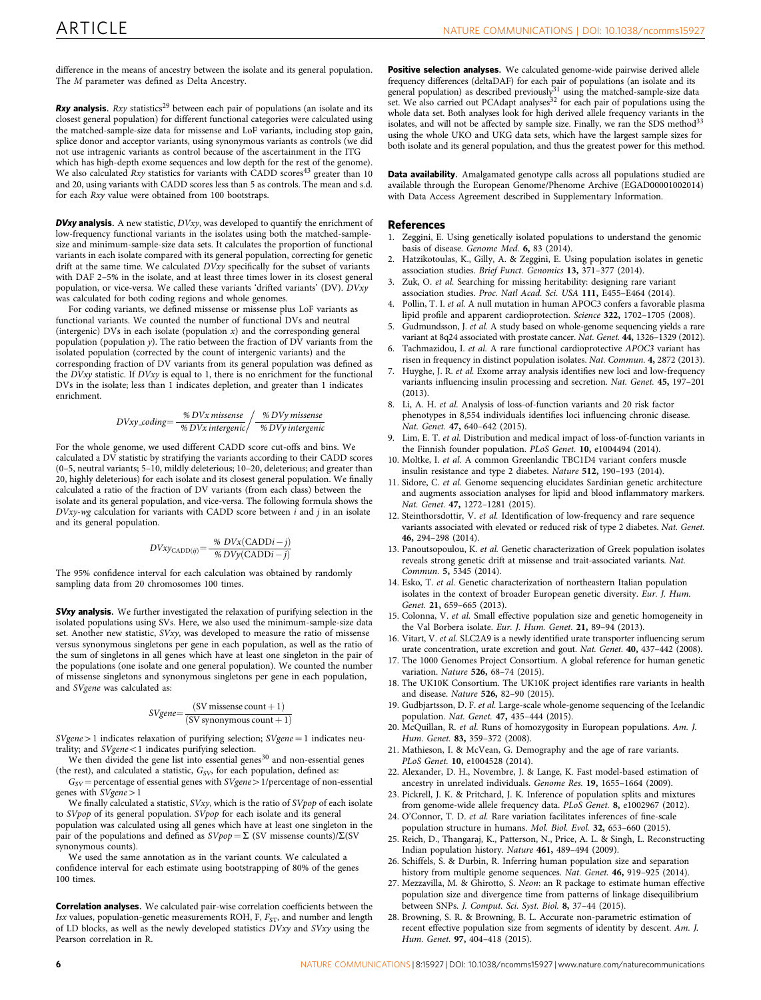<span id="page-5-0"></span>difference in the means of ancestry between the isolate and its general population. The M parameter was defined as Delta Ancestry.

**Rxy analysis.** Rxy statistics<sup>[29](#page-6-0)</sup> between each pair of populations (an isolate and its closest general population) for different functional categories were calculated using the matched-sample-size data for missense and LoF variants, including stop gain, splice donor and acceptor variants, using synonymous variants as controls (we did not use intragenic variants as control because of the ascertainment in the ITG

which has high-depth exome sequences and low depth for the rest of the genome). We also calculated  $Rxy$  statistics for variants with CADD scores<sup>[43](#page-6-0)</sup> greater than 10 and 20, using variants with CADD scores less than 5 as controls. The mean and s.d. for each Rxy value were obtained from 100 bootstraps.

**DVxy analysis.** A new statistic,  $D Vxy$ , was developed to quantify the enrichment of low-frequency functional variants in the isolates using both the matched-samplesize and minimum-sample-size data sets. It calculates the proportion of functional variants in each isolate compared with its general population, correcting for genetic drift at the same time. We calculated DVxy specifically for the subset of variants with DAF 2–5% in the isolate, and at least three times lower in its closest general population, or vice-versa. We called these variants 'drifted variants' (DV). DVxy was calculated for both coding regions and whole genomes.

For coding variants, we defined missense or missense plus LoF variants as functional variants. We counted the number of functional DVs and neutral (intergenic) DVs in each isolate (population  $x$ ) and the corresponding general population (population y). The ratio between the fraction of DV variants from the isolated population (corrected by the count of intergenic variants) and the corresponding fraction of DV variants from its general population was defined as the  $D Vxy$  statistic. If  $D Vxy$  is equal to 1, there is no enrichment for the functional DVs in the isolate; less than 1 indicates depletion, and greater than 1 indicates enrichment.

$$
DVxy \text{.coding} = \frac{\% DVx \text{ missense}}{\% DVx \text{ intergenic}} / \frac{\% DVy \text{ missense}}{\% DVy \text{ intergenic}}
$$

For the whole genome, we used different CADD score cut-offs and bins. We calculated a DV statistic by stratifying the variants according to their CADD scores (0–5, neutral variants; 5–10, mildly deleterious; 10–20, deleterious; and greater than 20, highly deleterious) for each isolate and its closest general population. We finally calculated a ratio of the fraction of DV variants (from each class) between the isolate and its general population, and vice-versa. The following formula shows the  $D Vxy$ -wg calculation for variants with CADD score between  $i$  and  $j$  in an isolate and its general population.

$$
DVxy_{\text{CADD}(ij)} = \frac{\% DVx(\text{CADD}i - j)}{\% DVy(\text{CADD}i - j)}
$$

The 95% confidence interval for each calculation was obtained by randomly sampling data from 20 chromosomes 100 times.

**SVxy analysis.** We further investigated the relaxation of purifying selection in the isolated populations using SVs. Here, we also used the minimum-sample-size data set. Another new statistic, SVxy, was developed to measure the ratio of missense versus synonymous singletons per gene in each population, as well as the ratio of the sum of singletons in all genes which have at least one singleton in the pair of the populations (one isolate and one general population). We counted the number of missense singletons and synonymous singletons per gene in each population, and SVgene was calculated as:

$$
SVgene = \frac{(SV \text{ missense count} + 1)}{(SV \text{ synonymous count} + 1)}
$$

 $SVgene > 1$  indicates relaxation of purifying selection;  $SVgene = 1$  indicates neutrality; and  $SVgene <1$  indicates purifying selection.

We then divided the gene list into essential genes<sup>[30](#page-6-0)</sup> and non-essential genes (the rest), and calculated a statistic,  $G_{SV}$ , for each population, defined as:

 $G_{SV}$  = percentage of essential genes with SVgene > 1/percentage of non-essential genes with  $SVgene > 1$ 

We finally calculated a statistic, SVxy, which is the ratio of SVpop of each isolate to SVpop of its general population. SVpop for each isolate and its general population was calculated using all genes which have at least one singleton in the pair of the populations and defined as  $S V p o p = \Sigma$  (SV missense counts)/ $\Sigma$ (SV synonymous counts).

We used the same annotation as in the variant counts. We calculated a confidence interval for each estimate using bootstrapping of 80% of the genes 100 times.

Correlation analyses. We calculated pair-wise correlation coefficients between the Isx values, population-genetic measurements ROH, F,  $F_{ST}$ , and number and length of LD blocks, as well as the newly developed statistics DVxy and SVxy using the Pearson correlation in R.

Positive selection analyses. We calculated genome-wide pairwise derived allele frequency differences (deltaDAF) for each pair of populations (an isolate and its<br>general population) as described previously<sup>[31](#page-6-0)</sup> using the matched-sample-size data set. We also carried out PCAdapt analyses $32$  for each pair of populations using the whole data set. Both analyses look for high derived allele frequency variants in the solates, and will not be affected by sample size. Finally, we ran the SDS method<sup>33</sup> using the whole UKO and UKG data sets, which have the largest sample sizes for both isolate and its general population, and thus the greatest power for this method.

Data availability. Amalgamated genotype calls across all populations studied are available through the European Genome/Phenome Archive (EGAD00001002014) with Data Access Agreement described in Supplementary Information.

#### References

- Zeggini, E. Using genetically isolated populations to understand the genomic basis of disease. Genome Med. 6, 83 (2014).
- 2. Hatzikotoulas, K., Gilly, A. & Zeggini, E. Using population isolates in genetic association studies. Brief Funct. Genomics 13, 371–377 (2014).
- 3. Zuk, O. et al. Searching for missing heritability: designing rare variant association studies. Proc. Natl Acad. Sci. USA 111, E455–E464 (2014).
- 4. Pollin, T. I. et al. A null mutation in human APOC3 confers a favorable plasma lipid profile and apparent cardioprotection. Science 322, 1702–1705 (2008).
- Gudmundsson, J. et al. A study based on whole-genome sequencing yields a rare variant at 8q24 associated with prostate cancer. Nat. Genet. 44, 1326–1329 (2012).
- 6. Tachmazidou, I. et al. A rare functional cardioprotective APOC3 variant has risen in frequency in distinct population isolates. Nat. Commun. 4, 2872 (2013).
- Huyghe, J. R. et al. Exome array analysis identifies new loci and low-frequency variants influencing insulin processing and secretion. Nat. Genet. 45, 197–201 (2013).
- 8. Li, A. H. et al. Analysis of loss-of-function variants and 20 risk factor phenotypes in 8,554 individuals identifies loci influencing chronic disease. Nat. Genet. 47, 640–642 (2015).
- 9. Lim, E. T. et al. Distribution and medical impact of loss-of-function variants in the Finnish founder population. PLoS Genet. 10, e1004494 (2014).
- 10. Moltke, I. et al. A common Greenlandic TBC1D4 variant confers muscle insulin resistance and type 2 diabetes. Nature 512, 190–193 (2014).
- 11. Sidore, C. et al. Genome sequencing elucidates Sardinian genetic architecture and augments association analyses for lipid and blood inflammatory markers. Nat. Genet. 47, 1272–1281 (2015).
- 12. Steinthorsdottir, V. et al. Identification of low-frequency and rare sequence variants associated with elevated or reduced risk of type 2 diabetes. Nat. Genet. 46, 294–298 (2014).
- 13. Panoutsopoulou, K. et al. Genetic characterization of Greek population isolates reveals strong genetic drift at missense and trait-associated variants. Nat. Commun. 5, 5345 (2014).
- 14. Esko, T. et al. Genetic characterization of northeastern Italian population isolates in the context of broader European genetic diversity. Eur. J. Hum. Genet. 21, 659–665 (2013).
- 15. Colonna, V. et al. Small effective population size and genetic homogeneity in the Val Borbera isolate. Eur. J. Hum. Genet. 21, 89–94 (2013).
- 16. Vitart, V. et al. SLC2A9 is a newly identified urate transporter influencing serum urate concentration, urate excretion and gout. Nat. Genet. 40, 437–442 (2008).
- 17. The 1000 Genomes Project Consortium. A global reference for human genetic variation. Nature 526, 68–74 (2015).
- 18. The UK10K Consortium. The UK10K project identifies rare variants in health and disease. Nature 526, 82–90 (2015).
- 19. Gudbjartsson, D. F. et al. Large-scale whole-genome sequencing of the Icelandic population. Nat. Genet. 47, 435–444 (2015).
- 20. McQuillan, R. et al. Runs of homozygosity in European populations. Am. J. Hum. Genet. 83, 359–372 (2008).
- 21. Mathieson, I. & McVean, G. Demography and the age of rare variants. PLoS Genet. 10, e1004528 (2014).
- 22. Alexander, D. H., Novembre, J. & Lange, K. Fast model-based estimation of ancestry in unrelated individuals. Genome Res. 19, 1655–1664 (2009).
- 23. Pickrell, J. K. & Pritchard, J. K. Inference of population splits and mixtures from genome-wide allele frequency data. PLoS Genet. 8, e1002967 (2012).
- 24. O'Connor, T. D. et al. Rare variation facilitates inferences of fine-scale population structure in humans. Mol. Biol. Evol. 32, 653–660 (2015).
- 25. Reich, D., Thangaraj, K., Patterson, N., Price, A. L. & Singh, L. Reconstructing Indian population history. Nature 461, 489–494 (2009).
- 26. Schiffels, S. & Durbin, R. Inferring human population size and separation history from multiple genome sequences. Nat. Genet. 46, 919–925 (2014).
- 27. Mezzavilla, M. & Ghirotto, S. Neon: an R package to estimate human effective population size and divergence time from patterns of linkage disequilibrium between SNPs. J. Comput. Sci. Syst. Biol. 8, 37–44 (2015).
- 28. Browning, S. R. & Browning, B. L. Accurate non-parametric estimation of recent effective population size from segments of identity by descent. Am. J. Hum. Genet. 97, 404–418 (2015).